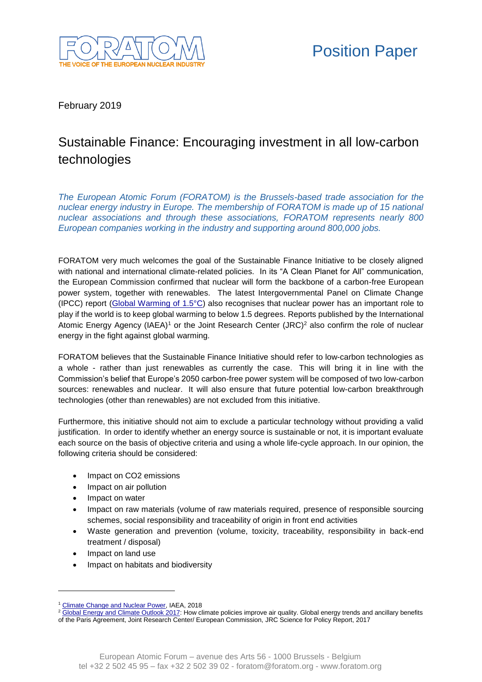

February 2019

## Sustainable Finance: Encouraging investment in all low-carbon technologies

*The European Atomic Forum (FORATOM) is the Brussels-based trade association for the nuclear energy industry in Europe. The membership of FORATOM is made up of 15 national nuclear associations and through these associations, FORATOM represents nearly 800 European companies working in the industry and supporting around 800,000 jobs.* 

FORATOM very much welcomes the goal of the Sustainable Finance Initiative to be closely aligned with national and international climate-related policies. In its "A Clean Planet for All" communication, the European Commission confirmed that nuclear will form the backbone of a carbon-free European power system, together with renewables. The latest Intergovernmental Panel on Climate Change (IPCC) report (Global Warming of  $1.5^{\circ}$ C) also recognises that nuclear power has an important role to play if the world is to keep global warming to below 1.5 degrees. Reports published by the International Atomic Energy Agency (IAEA)<sup>1</sup> or the Joint Research Center (JRC)<sup>2</sup> also confirm the role of nuclear energy in the fight against global warming.

FORATOM believes that the Sustainable Finance Initiative should refer to low-carbon technologies as a whole - rather than just renewables as currently the case. This will bring it in line with the Commission's belief that Europe's 2050 carbon-free power system will be composed of two low-carbon sources: renewables and nuclear. It will also ensure that future potential low-carbon breakthrough technologies (other than renewables) are not excluded from this initiative.

Furthermore, this initiative should not aim to exclude a particular technology without providing a valid justification. In order to identify whether an energy source is sustainable or not, it is important evaluate each source on the basis of objective criteria and using a whole life-cycle approach. In our opinion, the following criteria should be considered:

- Impact on CO2 emissions
- Impact on air pollution
- Impact on water
- Impact on raw materials (volume of raw materials required, presence of responsible sourcing schemes, social responsibility and traceability of origin in front end activities
- Waste generation and prevention (volume, toxicity, traceability, responsibility in back-end treatment / disposal)
- Impact on land use

-

Impact on habitats and biodiversity

<sup>1</sup> [Climate Change and Nuclear Power,](https://www-pub.iaea.org/MTCD/Publications/PDF/CCNAP-2018_web.pdf) IAEA, 2018

<sup>&</sup>lt;sup>2</sup> [Global Energy and Climate Outlook 2017:](http://publications.jrc.ec.europa.eu/repository/bitstream/JRC107944/kjna28798enn(1).pdf) How climate policies improve air quality. Global energy trends and ancillary benefits of the Paris Agreement, Joint Research Center/ European Commission, JRC Science for Policy Report, 2017